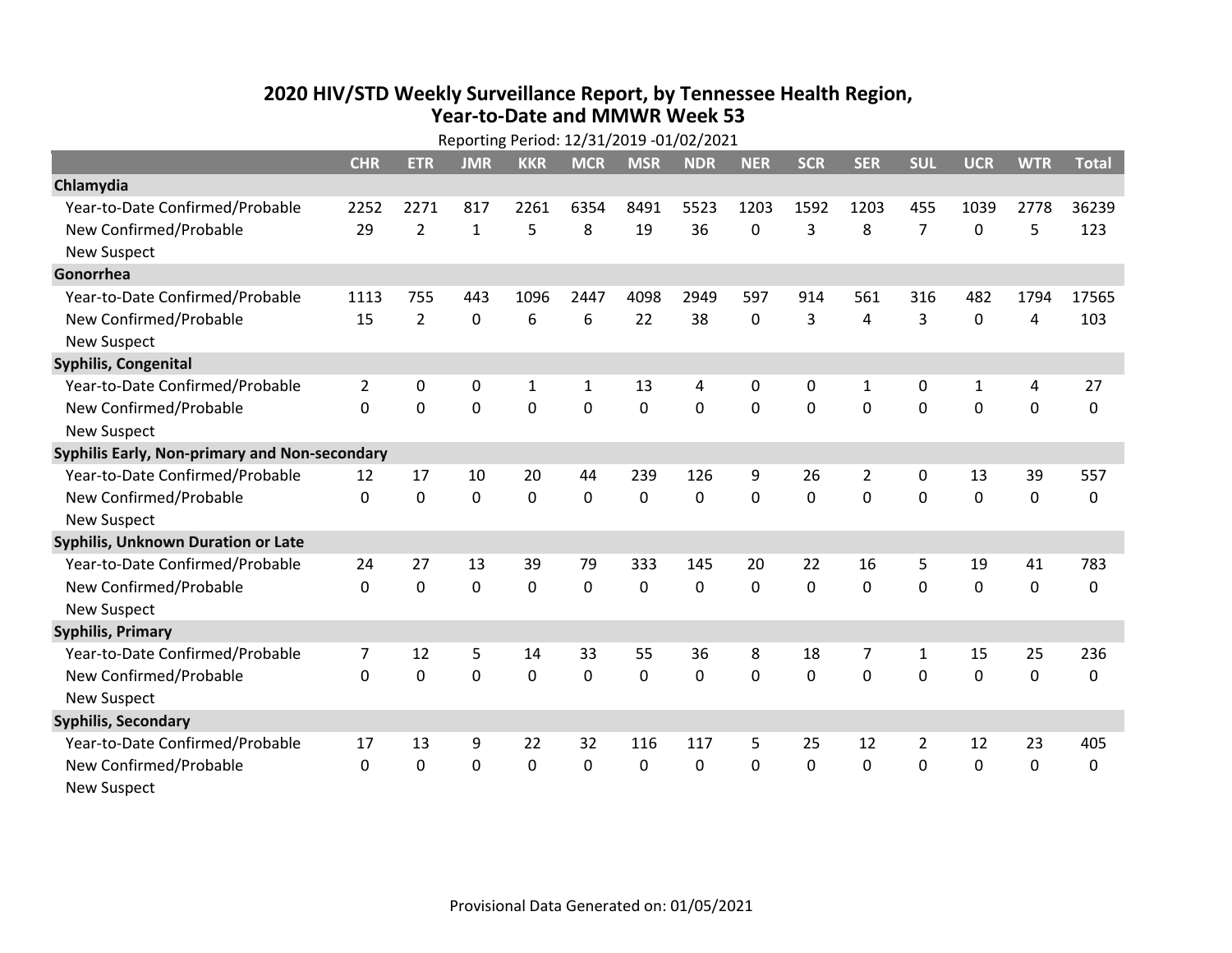## **2020 HIV /STD Weekly Surveillance Report, by Tennessee Health Region, Year‐to‐Date and MMWR Week 53** Reporting Period: 12/31/2019 ‐01/02/2021

| Reporting Period: 12/31/2019 -01/02/2021      |                |                |                |              |              |             |            |              |            |                |                |                |             |              |
|-----------------------------------------------|----------------|----------------|----------------|--------------|--------------|-------------|------------|--------------|------------|----------------|----------------|----------------|-------------|--------------|
|                                               | <b>CHR</b>     | <b>ETR</b>     | <b>JMR</b>     | <b>KKR</b>   | <b>MCR</b>   | <b>MSR</b>  | <b>NDR</b> | <b>NER</b>   | <b>SCR</b> | <b>SER</b>     | <b>SUL</b>     | <b>UCR</b>     | <b>WTR</b>  | <b>Total</b> |
| Chlamydia                                     |                |                |                |              |              |             |            |              |            |                |                |                |             |              |
| Year-to-Date Confirmed/Probable               | 2252           | 2271           | 817            | 2261         | 6354         | 8491        | 5523       | 1203         | 1592       | 1203           | 455            | 1039           | 2778        | 36239        |
| New Confirmed/Probable                        | 29             | $\overline{2}$ | $\mathbf{1}$   | 5            | 8            | 19          | 36         | 0            | 3          | 8              | 7              | 0              | 5           | 123          |
| <b>New Suspect</b>                            |                |                |                |              |              |             |            |              |            |                |                |                |             |              |
| Gonorrhea                                     |                |                |                |              |              |             |            |              |            |                |                |                |             |              |
| Year-to-Date Confirmed/Probable               | 1113           | 755            | 443            | 1096         | 2447         | 4098        | 2949       | 597          | 914        | 561            | 316            | 482            | 1794        | 17565        |
| New Confirmed/Probable                        | 15             | $\overline{2}$ | $\mathbf 0$    | 6            | 6            | 22          | 38         | 0            | 3          | 4              | 3              | 0              | 4           | 103          |
| <b>New Suspect</b>                            |                |                |                |              |              |             |            |              |            |                |                |                |             |              |
| <b>Syphilis, Congenital</b>                   |                |                |                |              |              |             |            |              |            |                |                |                |             |              |
| Year-to-Date Confirmed/Probable               | 2              | 0              | 0              | $\mathbf{1}$ | 1            | 13          | 4          | 0            | 0          | 1              | 0              | 1              | 4           | 27           |
| New Confirmed/Probable                        | $\Omega$       | $\mathbf 0$    | $\overline{0}$ | 0            | $\mathbf 0$  | $\mathbf 0$ | 0          | $\Omega$     | $\Omega$   | $\mathbf 0$    | $\mathbf 0$    | $\overline{0}$ | $\mathbf 0$ | 0            |
| <b>New Suspect</b>                            |                |                |                |              |              |             |            |              |            |                |                |                |             |              |
| Syphilis Early, Non-primary and Non-secondary |                |                |                |              |              |             |            |              |            |                |                |                |             |              |
| Year-to-Date Confirmed/Probable               | 12             | 17             | 10             | 20           | 44           | 239         | 126        | 9            | 26         | $\overline{2}$ | 0              | 13             | 39          | 557          |
| New Confirmed/Probable                        | $\Omega$       | $\mathbf 0$    | $\mathbf 0$    | 0            | $\mathbf 0$  | 0           | $\Omega$   | $\Omega$     | $\Omega$   | 0              | $\mathbf 0$    | $\mathbf 0$    | $\mathbf 0$ | 0            |
| <b>New Suspect</b>                            |                |                |                |              |              |             |            |              |            |                |                |                |             |              |
| Syphilis, Unknown Duration or Late            |                |                |                |              |              |             |            |              |            |                |                |                |             |              |
| Year-to-Date Confirmed/Probable               | 24             | 27             | 13             | 39           | 79           | 333         | 145        | 20           | 22         | 16             | 5              | 19             | 41          | 783          |
| New Confirmed/Probable                        | 0              | $\mathbf 0$    | $\mathbf 0$    | 0            | 0            | 0           | 0          | $\mathbf 0$  | 0          | $\mathbf 0$    | $\mathbf 0$    | 0              | $\mathbf 0$ | 0            |
| <b>New Suspect</b>                            |                |                |                |              |              |             |            |              |            |                |                |                |             |              |
| <b>Syphilis, Primary</b>                      |                |                |                |              |              |             |            |              |            |                |                |                |             |              |
| Year-to-Date Confirmed/Probable               | $\overline{7}$ | 12             | 5              | 14           | 33           | 55          | 36         | 8            | 18         | 7              | 1              | 15             | 25          | 236          |
| New Confirmed/Probable                        | 0              | $\mathbf 0$    | 0              | 0            | 0            | 0           | 0          | $\mathbf{0}$ | 0          | $\mathbf 0$    | 0              | 0              | $\mathbf 0$ | 0            |
| <b>New Suspect</b>                            |                |                |                |              |              |             |            |              |            |                |                |                |             |              |
| <b>Syphilis, Secondary</b>                    |                |                |                |              |              |             |            |              |            |                |                |                |             |              |
| Year-to-Date Confirmed/Probable               | 17             | 13             | 9              | 22           | 32           | 116         | 117        | 5            | 25         | 12             | $\overline{2}$ | 12             | 23          | 405          |
| New Confirmed/Probable                        | $\Omega$       | $\Omega$       | 0              | $\Omega$     | $\mathbf{0}$ | 0           | 0          | $\Omega$     | $\Omega$   | $\Omega$       | $\mathbf{0}$   | 0              | 0           | 0            |
| <b>New Suspect</b>                            |                |                |                |              |              |             |            |              |            |                |                |                |             |              |